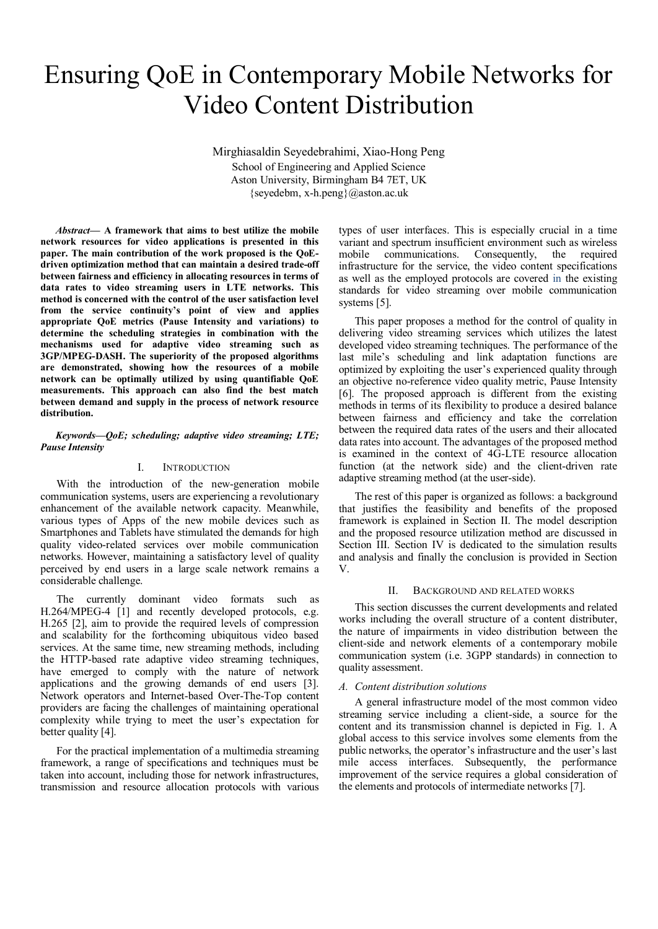# Ensuring QoE in Contemporary Mobile Networks for Video Content Distribution

Mirghiasaldin Seyedebrahimi, Xiao-Hong Peng School of Engineering and Applied Science Aston University, Birmingham B4 7ET, UK {seyedebm, x-h.peng}@aston.ac.uk

*Abstract***— A framework that aims to best utilize the mobile network resources for video applications is presented in this paper. The main contribution of the work proposed is the QoEdriven optimization method that can maintain a desired trade-off between fairness and efficiency in allocating resources in terms of data rates to video streaming users in LTE networks. This method is concerned with the control of the user satisfaction level from the service continuity's point of view and applies appropriate QoE metrics (Pause Intensity and variations) to determine the scheduling strategies in combination with the mechanisms used for adaptive video streaming such as 3GP/MPEG-DASH. The superiority of the proposed algorithms are demonstrated, showing how the resources of a mobile network can be optimally utilized by using quantifiable QoE measurements. This approach can also find the best match between demand and supply in the process of network resource distribution.** 

# *Keywords—QoE; scheduling; adaptive video streaming; LTE; Pause Intensity*

# I. INTRODUCTION

With the introduction of the new-generation mobile communication systems, users are experiencing a revolutionary enhancement of the available network capacity. Meanwhile, various types of Apps of the new mobile devices such as Smartphones and Tablets have stimulated the demands for high quality video-related services over mobile communication networks. However, maintaining a satisfactory level of quality perceived by end users in a large scale network remains a considerable challenge.

The currently dominant video formats such as H.264/MPEG-4 [1] and recently developed protocols, e.g. H.265 [2], aim to provide the required levels of compression and scalability for the forthcoming ubiquitous video based services. At the same time, new streaming methods, including the HTTP-based rate adaptive video streaming techniques, have emerged to comply with the nature of network applications and the growing demands of end users [3]. Network operators and Internet-based Over-The-Top content providers are facing the challenges of maintaining operational complexity while trying to meet the user's expectation for better quality [4].

For the practical implementation of a multimedia streaming framework, a range of specifications and techniques must be taken into account, including those for network infrastructures, transmission and resource allocation protocols with various

types of user interfaces. This is especially crucial in a time variant and spectrum insufficient environment such as wireless mobile communications. Consequently, the required infrastructure for the service, the video content specifications as well as the employed protocols are covered in the existing standards for video streaming over mobile communication systems [5].

This paper proposes a method for the control of quality in delivering video streaming services which utilizes the latest developed video streaming techniques. The performance of the last mile's scheduling and link adaptation functions are optimized by exploiting the user's experienced quality through an objective no-reference video quality metric, Pause Intensity [6]. The proposed approach is different from the existing methods in terms of its flexibility to produce a desired balance between fairness and efficiency and take the correlation between the required data rates of the users and their allocated data rates into account. The advantages of the proposed method is examined in the context of 4G-LTE resource allocation function (at the network side) and the client-driven rate adaptive streaming method (at the user-side).

The rest of this paper is organized as follows: a background that justifies the feasibility and benefits of the proposed framework is explained in Section II. The model description and the proposed resource utilization method are discussed in Section III. Section IV is dedicated to the simulation results and analysis and finally the conclusion is provided in Section V.

# II. BACKGROUND AND RELATED WORKS

This section discusses the current developments and related works including the overall structure of a content distributer, the nature of impairments in video distribution between the client-side and network elements of a contemporary mobile communication system (i.e. 3GPP standards) in connection to quality assessment.

# *A. Content distribution solutions*

A general infrastructure model of the most common video streaming service including a client-side, a source for the content and its transmission channel is depicted in Fig. 1. A global access to this service involves some elements from the public networks, the operator's infrastructure and the user's last mile access interfaces. Subsequently, the performance improvement of the service requires a global consideration of the elements and protocols of intermediate networks [7].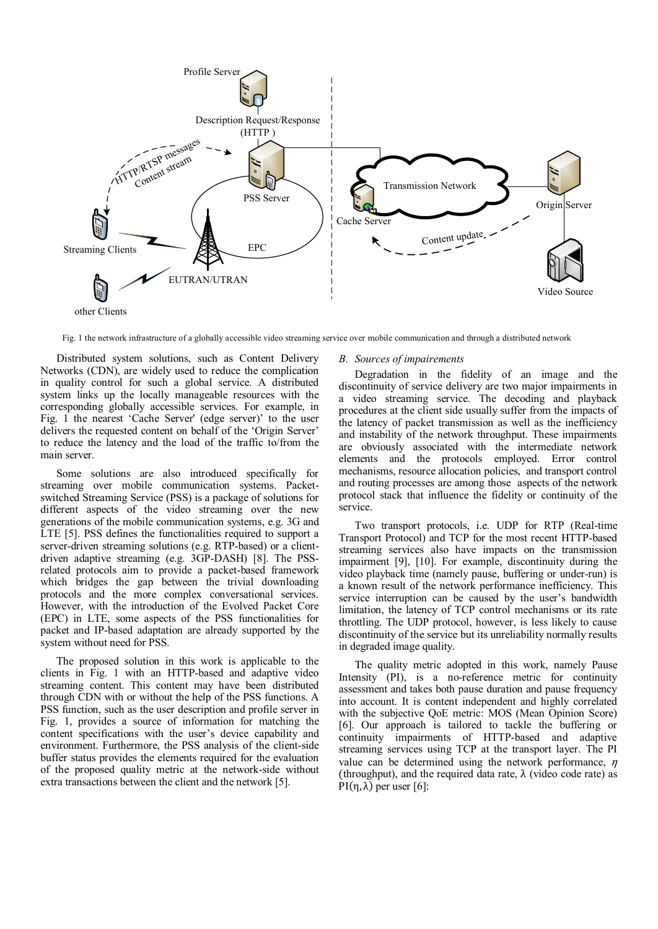

Fig. 1 the network infrastructure of a globally accessible video streaming service over mobile communication and through a distributed network

Distributed system solutions, such as Content Delivery Networks (CDN), are widely used to reduce the complication in quality control for such a global service. A distributed system links up the locally manageable resources with the corresponding globally accessible services. For example, in Fig. 1 the nearest 'Cache Server' (edge server)' to the user delivers the requested content on behalf of the 'Origin Server' to reduce the latency and the load of the traffic to/from the main server.

Some solutions are also introduced specifically for streaming over mobile communication systems. Packetswitched Streaming Service (PSS) is a package of solutions for different aspects of the video streaming over the new generations of the mobile communication systems, e.g. 3G and LTE [5]. PSS defines the functionalities required to support a server-driven streaming solutions (e.g. RTP-based) or a clientdriven adaptive streaming (e.g. 3GP-DASH) [8]. The PSSrelated protocols aim to provide a packet-based framework which bridges the gap between the trivial downloading protocols and the more complex conversational services. However, with the introduction of the Evolved Packet Core (EPC) in LTE, some aspects of the PSS functionalities for packet and IP-based adaptation are already supported by the system without need for PSS.

The proposed solution in this work is applicable to the clients in Fig. 1 with an HTTP-based and adaptive video streaming content. This content may have been distributed through CDN with or without the help of the PSS functions. A PSS function, such as the user description and profile server in Fig. 1, provides a source of information for matching the content specifications with the user's device capability and environment. Furthermore, the PSS analysis of the client-side buffer status provides the elements required for the evaluation of the proposed quality metric at the network-side without extra transactions between the client and the network [5].

# *B. Sources of impairements*

Degradation in the fidelity of an image and the discontinuity of service delivery are two major impairments in a video streaming service. The decoding and playback procedures at the client side usually suffer from the impacts of the latency of packet transmission as well as the inefficiency and instability of the network throughput. These impairments are obviously associated with the intermediate network elements and the protocols employed. Error control mechanisms, resource allocation policies, and transport control and routing processes are among those aspects of the network protocol stack that influence the fidelity or continuity of the service.

Two transport protocols, i.e. UDP for RTP (Real-time Transport Protocol) and TCP for the most recent HTTP-based streaming services also have impacts on the transmission impairment [9], [10]. For example, discontinuity during the video playback time (namely pause, buffering or under-run) is a known result of the network performance inefficiency. This service interruption can be caused by the user's bandwidth limitation, the latency of TCP control mechanisms or its rate throttling. The UDP protocol, however, is less likely to cause discontinuity of the service but its unreliability normally results in degraded image quality.

The quality metric adopted in this work, namely Pause Intensity (PI), is a no-reference metric for continuity assessment and takes both pause duration and pause frequency into account. It is content independent and highly correlated with the subjective QoE metric: MOS (Mean Opinion Score) [6]. Our approach is tailored to tackle the buffering or continuity impairments of HTTP-based and adaptive streaming services using TCP at the transport layer. The PI value can be determined using the network performance,  $\eta$ (throughput), and the required data rate,  $\lambda$  (video code rate) as PI(η, λ) per user [6]: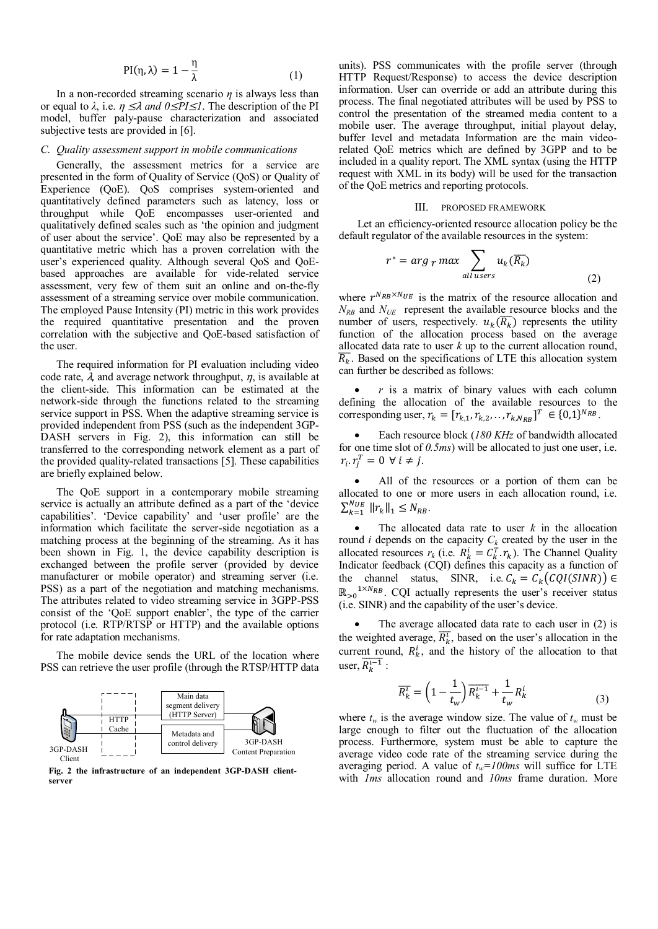$$
PI(\eta, \lambda) = 1 - \frac{\eta}{\lambda}
$$
 (1)

In a non-recorded streaming scenario *η* is always less than or equal to  $\lambda$ , i.e.  $\eta \leq \lambda$  *and*  $0 \leq P I \leq I$ . The description of the PI model, buffer paly-pause characterization and associated subjective tests are provided in [6].

# *C. Quality assessment support in mobile communications*

Generally, the assessment metrics for a service are presented in the form of Quality of Service (QoS) or Quality of Experience (QoE). QoS comprises system-oriented and quantitatively defined parameters such as latency, loss or throughput while QoE encompasses user-oriented and qualitatively defined scales such as 'the opinion and judgment of user about the service'. QoE may also be represented by a quantitative metric which has a proven correlation with the user's experienced quality. Although several QoS and QoEbased approaches are available for vide-related service assessment, very few of them suit an online and on-the-fly assessment of a streaming service over mobile communication. The employed Pause Intensity (PI) metric in this work provides the required quantitative presentation and the proven correlation with the subjective and QoE-based satisfaction of the user.

The required information for PI evaluation including video code rate,  $\lambda$ , and average network throughput,  $\eta$ , is available at the client-side. This information can be estimated at the network-side through the functions related to the streaming service support in PSS. When the adaptive streaming service is provided independent from PSS (such as the independent 3GP-DASH servers in Fig. 2), this information can still be transferred to the corresponding network element as a part of the provided quality-related transactions [5]. These capabilities are briefly explained below.

The QoE support in a contemporary mobile streaming service is actually an attribute defined as a part of the 'device capabilities'. 'Device capability' and 'user profile' are the information which facilitate the server-side negotiation as a matching process at the beginning of the streaming. As it has been shown in Fig. 1, the device capability description is exchanged between the profile server (provided by device manufacturer or mobile operator) and streaming server (i.e. PSS) as a part of the negotiation and matching mechanisms. The attributes related to video streaming service in 3GPP-PSS consist of the 'QoE support enabler', the type of the carrier protocol (i.e. RTP/RTSP or HTTP) and the available options for rate adaptation mechanisms.

The mobile device sends the URL of the location where PSS can retrieve the user profile (through the RTSP/HTTP data



**Fig. 2 the infrastructure of an independent 3GP-DASH clientserver** 

units). PSS communicates with the profile server (through HTTP Request/Response) to access the device description information. User can override or add an attribute during this process. The final negotiated attributes will be used by PSS to control the presentation of the streamed media content to a mobile user. The average throughput, initial playout delay, buffer level and metadata Information are the main videorelated QoE metrics which are defined by 3GPP and to be included in a quality report. The XML syntax (using the HTTP request with XML in its body) will be used for the transaction of the QoE metrics and reporting protocols.

#### III. PROPOSED FRAMEWORK

Let an efficiency-oriented resource allocation policy be the default regulator of the available resources in the system:

$$
r^* = \arg_r \max_{all \text{ users}} \sum_{u_k(\overline{R_k})} u_k(\overline{R_k})
$$
\n<sup>(2)</sup>

where  $r^{N_{RB} \times N_{UE}}$  is the matrix of the resource allocation and  $N_{RB}$  and  $N_{UE}$  represent the available resource blocks and the number of users, respectively.  $u_k(\overline{R_k})$  represents the utility function of the allocation process based on the average allocated data rate to user *k* up to the current allocation round,  $\overline{R_k}$ . Based on the specifications of LTE this allocation system can further be described as follows:

 *r* is a matrix of binary values with each column defining the allocation of the available resources to the corresponding user,  $r_k = [r_{k,1}, r_{k,2}, \dots, r_{k,N_{RB}}]^T \in \{0,1\}^{N_{RB}}$ .

 Each resource block (*180 KHz* of bandwidth allocated for one time slot of *0.5ms*) will be allocated to just one user, i.e.  $r_i \cdot r_j^T = 0 \ \forall \ i \neq j$ .

 All of the resources or a portion of them can be allocated to one or more users in each allocation round, i.e.  $\sum_{k=1}^{N_{UE}} ||r_k||_1 \leq N_{RB}.$ 

 The allocated data rate to user *k* in the allocation round *i* depends on the capacity  $C_k$  created by the user in the allocated resources  $r_k$  (i.e.  $R_k^i = C_k^T$ ,  $r_k$ ). The Channel Quality Indicator feedback (CQI) defines this capacity as a function of the channel status, SINR, i.e.  $C_k = C_k (CQI(SINR)) \in$  $\mathbb{R}_{>0}$ <sup>1×NRB</sup>. CQI actually represents the user's receiver status (i.e. SINR) and the capability of the user's device.

 The average allocated data rate to each user in (2) is the weighted average,  $\overline{R_k^t}$ , based on the user's allocation in the current round,  $R_k^i$ , and the history of the allocation to that user,  $\overline{R_k^{i-1}}$ :

$$
\overline{R_k^t} = \left(1 - \frac{1}{t_w}\right) \overline{R_k^{t-1}} + \frac{1}{t_w} R_k^i \tag{3}
$$

where  $t_w$  is the average window size. The value of  $t_w$  must be large enough to filter out the fluctuation of the allocation process. Furthermore, system must be able to capture the average video code rate of the streaming service during the averaging period. A value of  $t_w = 100$ ms will suffice for LTE with *1ms* allocation round and *10ms* frame duration. More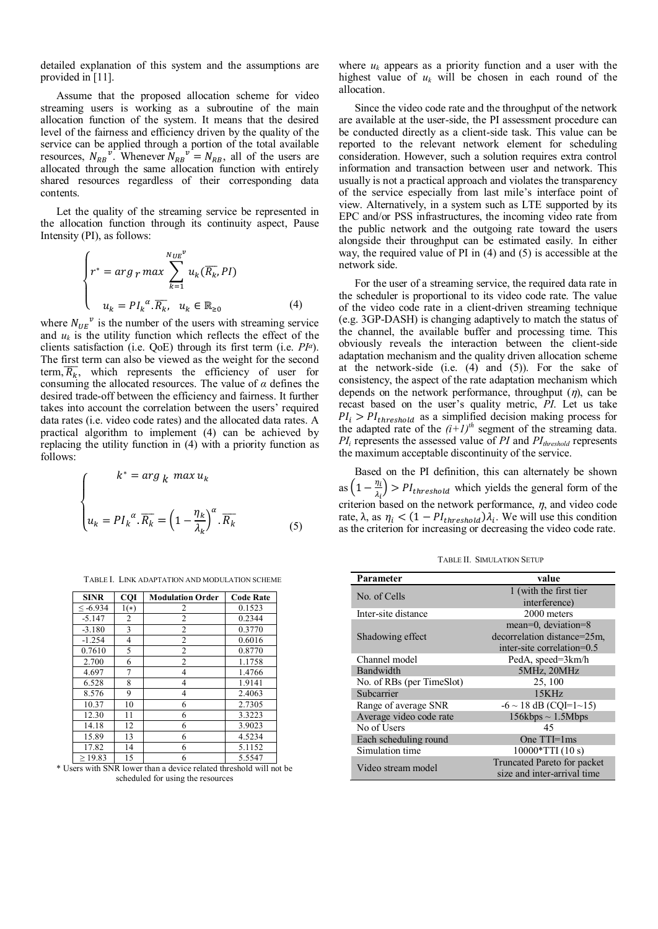detailed explanation of this system and the assumptions are provided in [11].

Assume that the proposed allocation scheme for video streaming users is working as a subroutine of the main allocation function of the system. It means that the desired level of the fairness and efficiency driven by the quality of the service can be applied through a portion of the total available resources,  $N_{RB}^{v}$ . Whenever  $N_{RB}^{v} = N_{RB}$ , all of the users are allocated through the same allocation function with entirely shared resources regardless of their corresponding data contents.

Let the quality of the streaming service be represented in the allocation function through its continuity aspect, Pause Intensity (PI), as follows:

$$
\begin{cases}\nr^* = arg \, r \, max \sum_{k=1}^{N_{UE}^{\nu}} u_k(\overline{R_k}, P I) \\
u_k = P I_k^{\alpha} . \overline{R_k}, \ u_k \in \mathbb{R}_{\geq 0} \n\end{cases} \tag{4}
$$

where  $N_{UE}^{\nu}$  is the number of the users with streaming service and  $u_k$  is the utility function which reflects the effect of the clients satisfaction (i.e. QoE) through its first term (i.e. *PI*α). The first term can also be viewed as the weight for the second term,  $\overline{R_k}$ , which represents the efficiency of user for consuming the allocated resources. The value of *α* defines the desired trade-off between the efficiency and fairness. It further takes into account the correlation between the users' required data rates (i.e. video code rates) and the allocated data rates. A practical algorithm to implement (4) can be achieved by replacing the utility function in (4) with a priority function as follows:

$$
\begin{cases}\n k^* = \arg_k \max u_k \\
 u_k = Pl_k^{\alpha} \cdot \overline{R_k} = \left(1 - \frac{\eta_k}{\lambda_k}\right)^{\alpha} \cdot \overline{R_k} \tag{5}
$$

| TABLE I. LINK ADAPTATION AND MODULATION SCHEME |  |
|------------------------------------------------|--|
|------------------------------------------------|--|

| <b>SINR</b> | <b>CQI</b> | <b>Modulation Order</b> | <b>Code Rate</b> |
|-------------|------------|-------------------------|------------------|
| $< -6.934$  | $1(*)$     | 2                       | 0.1523           |
| $-5.147$    | 2          | $\overline{c}$          | 0.2344           |
| $-3.180$    | 3          | 2                       | 0.3770           |
| $-1.254$    | 4          | $\overline{c}$          | 0.6016           |
| 0.7610      | 5          | $\overline{c}$          | 0.8770           |
| 2.700       | 6          | $\overline{c}$          | 1.1758           |
| 4.697       | 7          | 4                       | 1.4766           |
| 6.528       | 8          | 4                       | 1.9141           |
| 8.576       | 9          | 4                       | 2.4063           |
| 10.37       | 10         | 6                       | 2.7305           |
| 12.30       | 11         | 6                       | 3.3223           |
| 14.18       | 12         | 6                       | 3.9023           |
| 15.89       | 13         | 6                       | 4.5234           |
| 17.82       | 14         | 6                       | 5.1152           |
| >19.83      | 15         | 6                       | 5.5547           |

\* Users with SNR lower than a device related threshold will not be scheduled for using the resources

where  $u_k$  appears as a priority function and a user with the highest value of  $u_k$  will be chosen in each round of the allocation.

Since the video code rate and the throughput of the network are available at the user-side, the PI assessment procedure can be conducted directly as a client-side task. This value can be reported to the relevant network element for scheduling consideration. However, such a solution requires extra control information and transaction between user and network. This usually is not a practical approach and violates the transparency of the service especially from last mile's interface point of view. Alternatively, in a system such as LTE supported by its EPC and/or PSS infrastructures, the incoming video rate from the public network and the outgoing rate toward the users alongside their throughput can be estimated easily. In either way, the required value of PI in (4) and (5) is accessible at the network side.

For the user of a streaming service, the required data rate in the scheduler is proportional to its video code rate. The value of the video code rate in a client-driven streaming technique (e.g. 3GP-DASH) is changing adaptively to match the status of the channel, the available buffer and processing time. This obviously reveals the interaction between the client-side adaptation mechanism and the quality driven allocation scheme at the network-side (i.e. (4) and (5)). For the sake of consistency, the aspect of the rate adaptation mechanism which depends on the network performance, throughput  $(\eta)$ , can be recast based on the user's quality metric, *PI*. Let us take  $PI_i > PI_{threshold}$  as a simplified decision making process for the adapted rate of the  $(i+1)^{th}$  segment of the streaming data. *PI<sup>i</sup>* represents the assessed value of *PI* and *PIthreshold* represents the maximum acceptable discontinuity of the service.

Based on the PI definition, this can alternately be shown as  $\left(1-\frac{\eta_i}{\eta_i}\right)$  $\frac{n_i}{\lambda_i}$  > PI<sub>threshold</sub> which yields the general form of the criterion based on the network performance,  $\eta$ , and video code rate,  $\lambda$ , as  $\eta_i < (1 - P I_{threshold}) \lambda_i$ . We will use this condition as the criterion for increasing or decreasing the video code rate.

TABLE II. SIMULATION SETUP

| Parameter                 | value                       |  |
|---------------------------|-----------------------------|--|
| No. of Cells              | 1 (with the first tier      |  |
|                           | interference)               |  |
| Inter-site distance       | 2000 meters                 |  |
|                           | mean=0, deviation=8         |  |
| Shadowing effect          | decorrelation distance=25m. |  |
|                           | inter-site correlation=0.5  |  |
| Channel model             | PedA, speed=3km/h           |  |
| Bandwidth                 | 5MHz, 20MHz                 |  |
| No. of RBs (per TimeSlot) | 25, 100                     |  |
| Subcarrier                | 15KHz                       |  |
| Range of average SNR      | $-6 \sim 18$ dB (CQI=1~15)  |  |
| Average video code rate   | $156kbps \sim 1.5Mbps$      |  |
| No of Users               | 45                          |  |
| Each scheduling round     | One $TTI=1ms$               |  |
| Simulation time           | $10000*TTI(10 s)$           |  |
| Video stream model        | Truncated Pareto for packet |  |
|                           | size and inter-arrival time |  |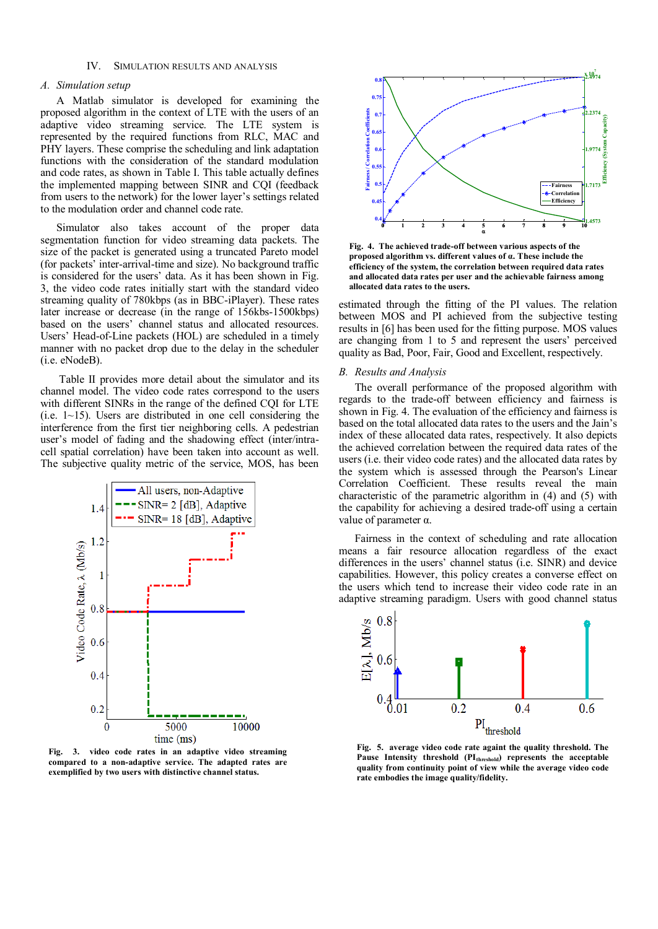# IV. SIMULATION RESULTS AND ANALYSIS

# *A. Simulation setup*

A Matlab simulator is developed for examining the proposed algorithm in the context of LTE with the users of an adaptive video streaming service. The LTE system is represented by the required functions from RLC, MAC and PHY layers. These comprise the scheduling and link adaptation functions with the consideration of the standard modulation and code rates, as shown in Table I. This table actually defines the implemented mapping between SINR and CQI (feedback from users to the network) for the lower layer's settings related to the modulation order and channel code rate.

Simulator also takes account of the proper data segmentation function for video streaming data packets. The size of the packet is generated using a truncated Pareto model (for packets' inter-arrival-time and size). No background traffic is considered for the users' data. As it has been shown in Fig. 3, the video code rates initially start with the standard video streaming quality of 780kbps (as in BBC-iPlayer). These rates later increase or decrease (in the range of 156kbs-1500kbps) based on the users' channel status and allocated resources. Users' Head-of-Line packets (HOL) are scheduled in a timely manner with no packet drop due to the delay in the scheduler (i.e. eNodeB).

Table II provides more detail about the simulator and its channel model. The video code rates correspond to the users with different SINRs in the range of the defined CQI for LTE (i.e.  $1~1~15$ ). Users are distributed in one cell considering the interference from the first tier neighboring cells. A pedestrian user's model of fading and the shadowing effect (inter/intracell spatial correlation) have been taken into account as well. The subjective quality metric of the service, MOS, has been



**Fig. 3. video code rates in an adaptive video streaming compared to a non-adaptive service. The adapted rates are exemplified by two users with distinctive channel status.**



**Fig. 4. The achieved trade-off between various aspects of the proposed algorithm vs. different values of α. These include the efficiency of the system, the correlation between required data rates and allocated data rates per user and the achievable fairness among allocated data rates to the users.**

estimated through the fitting of the PI values. The relation between MOS and PI achieved from the subjective testing results in [6] has been used for the fitting purpose. MOS values are changing from 1 to 5 and represent the users' perceived quality as Bad, Poor, Fair, Good and Excellent, respectively.

# *B. Results and Analysis*

The overall performance of the proposed algorithm with regards to the trade-off between efficiency and fairness is shown in Fig. 4. The evaluation of the efficiency and fairness is based on the total allocated data rates to the users and the Jain's index of these allocated data rates, respectively. It also depicts the achieved correlation between the required data rates of the users (i.e. their video code rates) and the allocated data rates by the system which is assessed through the Pearson's Linear Correlation Coefficient. These results reveal the main characteristic of the parametric algorithm in (4) and (5) with the capability for achieving a desired trade-off using a certain value of parameter α.

Fairness in the context of scheduling and rate allocation means a fair resource allocation regardless of the exact differences in the users' channel status (i.e. SINR) and device capabilities. However, this policy creates a converse effect on the users which tend to increase their video code rate in an adaptive streaming paradigm. Users with good channel status



**Fig. 5. average video code rate againt the quality threshold. The Pause Intensity threshold (PIthreshold) represents the acceptable quality from continuity point of view while the average video code rate embodies the image quality/fidelity.**